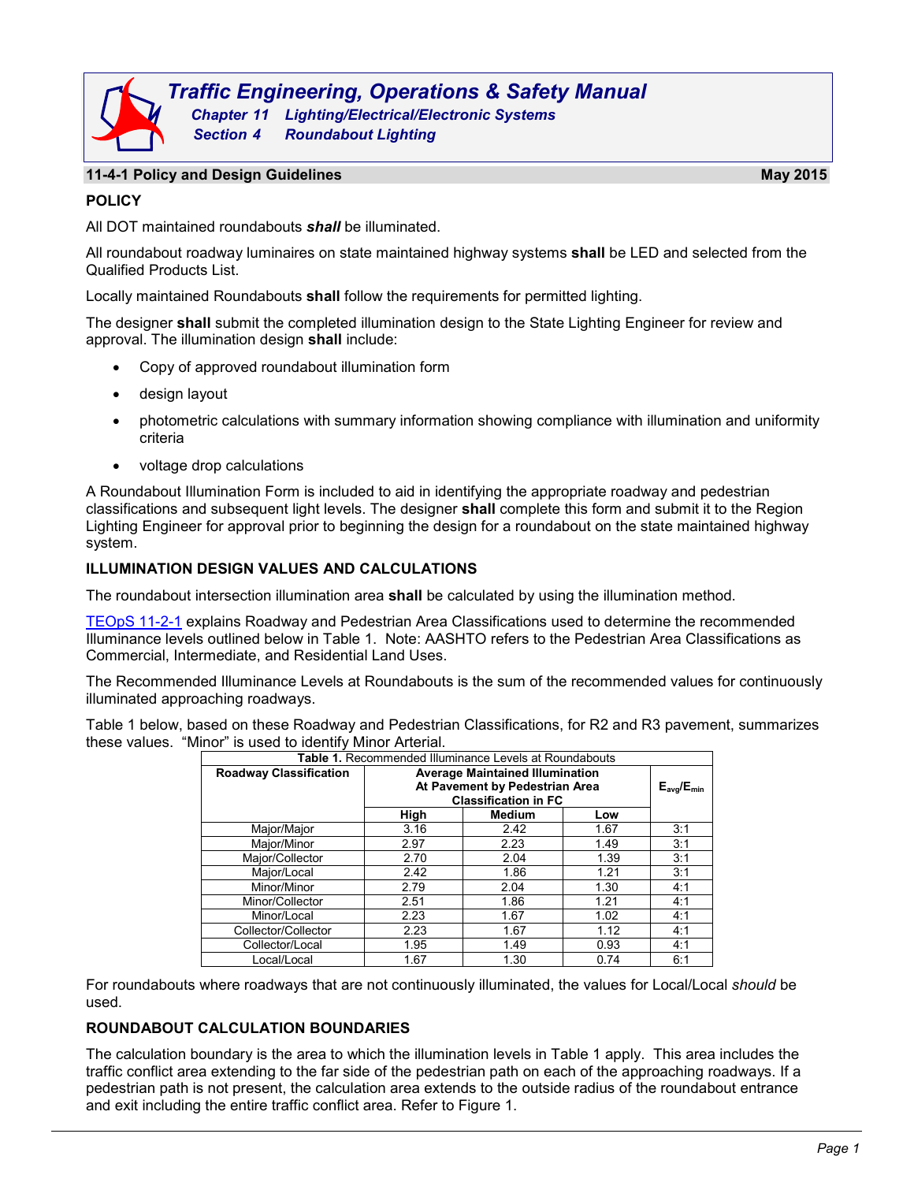

#### **11-4-1 Policy and Design Guidelines May 2015**

### **POLICY**

All DOT maintained roundabouts *shall* be illuminated.

All roundabout roadway luminaires on state maintained highway systems **shall** be LED and selected from the Qualified Products List.

Locally maintained Roundabouts **shall** follow the requirements for permitted lighting.

The designer **shall** submit the completed illumination design to the State Lighting Engineer for review and approval. The illumination design **shall** include:

- Copy of approved roundabout illumination form
- design layout
- photometric calculations with summary information showing compliance with illumination and uniformity criteria
- voltage drop calculations

A Roundabout Illumination Form is included to aid in identifying the appropriate roadway and pedestrian classifications and subsequent light levels. The designer **shall** complete this form and submit it to the Region Lighting Engineer for approval prior to beginning the design for a roundabout on the state maintained highway system.

#### **ILLUMINATION DESIGN VALUES AND CALCULATIONS**

The roundabout intersection illumination area **shall** be calculated by using the illumination method.

[TEOpS](http://wisconsindot.gov/dtsdManuals/traffic-ops/manuals-and-standards/teops/11-02.pdf) 11-2-1 explains Roadway and Pedestrian Area Classifications used to determine the recommended Illuminance levels outlined below in Table 1. Note: AASHTO refers to the Pedestrian Area Classifications as Commercial, Intermediate, and Residential Land Uses.

The Recommended Illuminance Levels at Roundabouts is the sum of the recommended values for continuously illuminated approaching roadways.

Table 1 below, based on these Roadway and Pedestrian Classifications, for R2 and R3 pavement, summarizes these values. "Minor" is used to identify Minor Arterial.

| Table 1. Recommended Illuminance Levels at Roundabouts |                                        |                   |      |     |  |  |
|--------------------------------------------------------|----------------------------------------|-------------------|------|-----|--|--|
| <b>Roadway Classification</b>                          | <b>Average Maintained Illumination</b> |                   |      |     |  |  |
|                                                        | At Pavement by Pedestrian Area         | $E_{avg}/E_{min}$ |      |     |  |  |
|                                                        | <b>Classification in FC</b>            |                   |      |     |  |  |
|                                                        | High                                   | <b>Medium</b>     | Low  |     |  |  |
| Major/Major                                            | 3.16                                   | 2.42              | 1.67 | 3:1 |  |  |
| Major/Minor                                            | 2.97                                   | 2.23              | 1.49 | 3:1 |  |  |
| Maior/Collector                                        | 2.70                                   | 2.04              | 1.39 | 3:1 |  |  |
| Major/Local                                            | 2.42                                   | 1.86              | 1.21 | 3:1 |  |  |
| Minor/Minor                                            | 2.79                                   | 2.04              | 1.30 | 4:1 |  |  |
| Minor/Collector                                        | 2.51                                   | 1.86              | 1.21 | 4:1 |  |  |
| Minor/Local                                            | 2.23                                   | 1.67              | 1.02 | 4:1 |  |  |
| Collector/Collector                                    | 2.23                                   | 1.67              | 1.12 | 4:1 |  |  |
| Collector/Local                                        | 1.95                                   | 1.49              | 0.93 | 4:1 |  |  |
| Local/Local                                            | 1.67                                   | 1.30              | 0.74 | 6:1 |  |  |

For roundabouts where roadways that are not continuously illuminated, the values for Local/Local *should* be used.

#### **ROUNDABOUT CALCULATION BOUNDARIES**

The calculation boundary is the area to which the illumination levels in Table 1 apply. This area includes the traffic conflict area extending to the far side of the pedestrian path on each of the approaching roadways. If a pedestrian path is not present, the calculation area extends to the outside radius of the roundabout entrance and exit including the entire traffic conflict area. Refer to Figure 1.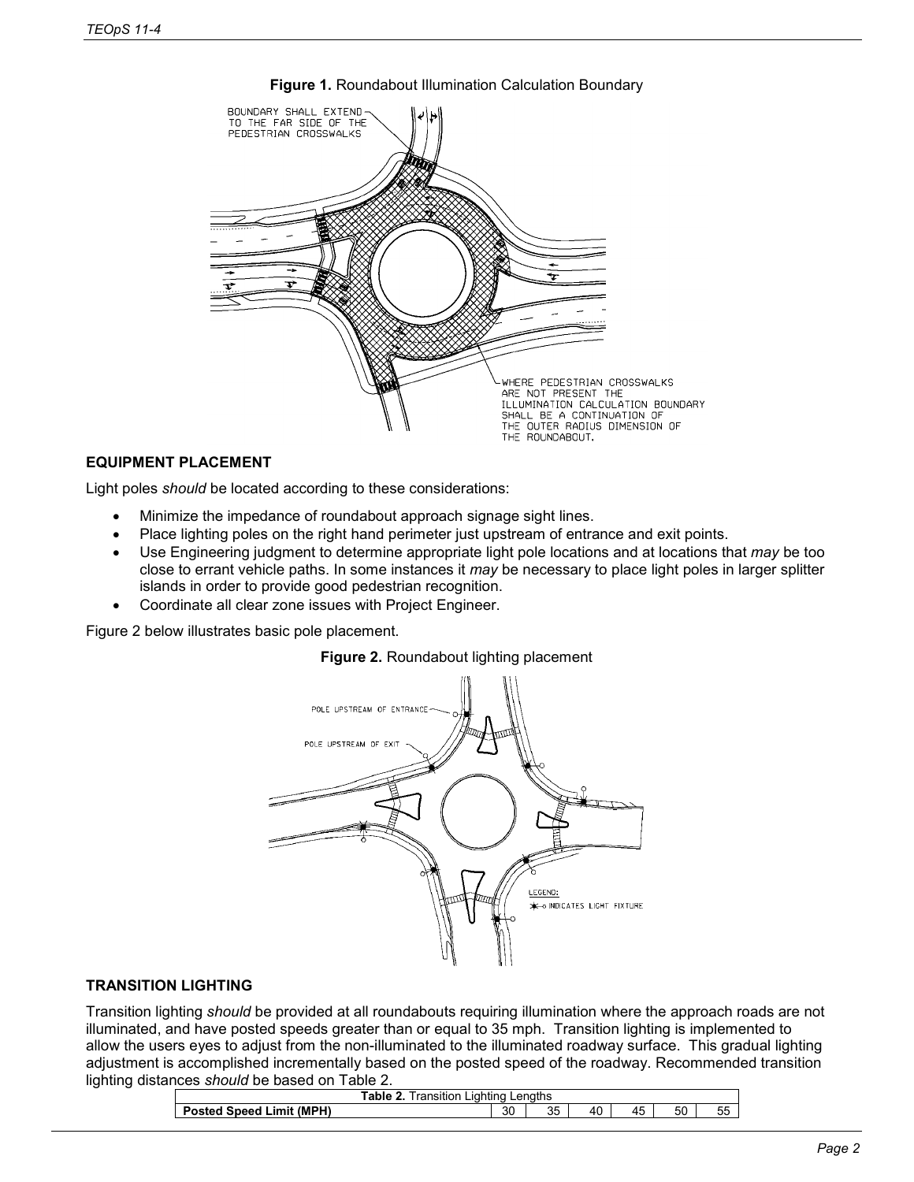

### **Figure 1.** Roundabout Illumination Calculation Boundary

# **EQUIPMENT PLACEMENT**

Light poles *should* be located according to these considerations:

- Minimize the impedance of roundabout approach signage sight lines.
- Place lighting poles on the right hand perimeter just upstream of entrance and exit points.
- Use Engineering judgment to determine appropriate light pole locations and at locations that *may* be too close to errant vehicle paths. In some instances it *may* be necessary to place light poles in larger splitter islands in order to provide good pedestrian recognition.
- Coordinate all clear zone issues with Project Engineer.

Figure 2 below illustrates basic pole placement.





### **TRANSITION LIGHTING**

Transition lighting *should* be provided at all roundabouts requiring illumination where the approach roads are not illuminated, and have posted speeds greater than or equal to 35 mph. Transition lighting is implemented to allow the users eyes to adjust from the non-illuminated to the illuminated roadway surface. This gradual lighting adjustment is accomplished incrementally based on the posted speed of the roadway. Recommended transition lighting distances *should* be based on Table 2.

| able<br>iahtina<br>Lenaths<br>ransition<br>. ar |  |              |    |    |    |    |               |
|-------------------------------------------------|--|--------------|----|----|----|----|---------------|
| Limit (MPH)<br>Sneed<br>то                      |  | $\sim$<br>ას | 35 | 40 | 45 | 50 | --<br>ᅛ<br>JJ |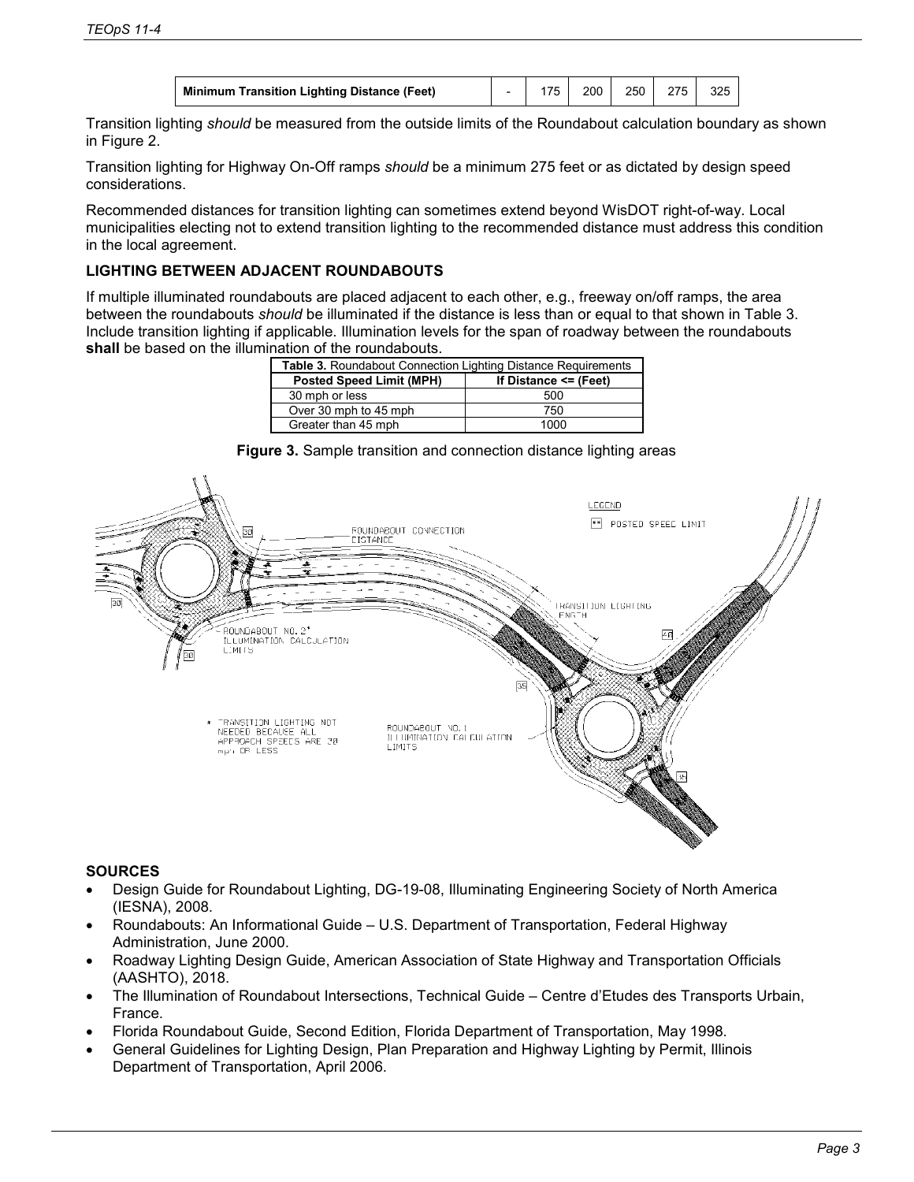| <b>Minimum Transition Lighting Distance (Feet)</b> |  |  | 200 | 250 | 275 | 325 |  |
|----------------------------------------------------|--|--|-----|-----|-----|-----|--|
|----------------------------------------------------|--|--|-----|-----|-----|-----|--|

Transition lighting *should* be measured from the outside limits of the Roundabout calculation boundary as shown in Figure 2.

Transition lighting for Highway On-Off ramps *should* be a minimum 275 feet or as dictated by design speed considerations.

Recommended distances for transition lighting can sometimes extend beyond WisDOT right-of-way. Local municipalities electing not to extend transition lighting to the recommended distance must address this condition in the local agreement.

# **LIGHTING BETWEEN ADJACENT ROUNDABOUTS**

If multiple illuminated roundabouts are placed adjacent to each other, e.g., freeway on/off ramps, the area between the roundabouts *should* be illuminated if the distance is less than or equal to that shown in Table 3. Include transition lighting if applicable. Illumination levels for the span of roadway between the roundabouts **shall** be based on the illumination of the roundabouts.

| <b>Table 3. Roundabout Connection Lighting Distance Requirements</b> |                           |  |  |  |
|----------------------------------------------------------------------|---------------------------|--|--|--|
| <b>Posted Speed Limit (MPH)</b>                                      | If Distance $\leq$ (Feet) |  |  |  |
| 30 mph or less                                                       | 500                       |  |  |  |
| Over 30 mph to 45 mph                                                | 750                       |  |  |  |
| Greater than 45 mph                                                  | 1000                      |  |  |  |

**Figure 3.** Sample transition and connection distance lighting areas



# **SOURCES**

- Design Guide for Roundabout Lighting, DG-19-08, Illuminating Engineering Society of North America (IESNA), 2008.
- Roundabouts: An Informational Guide U.S. Department of Transportation, Federal Highway Administration, June 2000.
- Roadway Lighting Design Guide, American Association of State Highway and Transportation Officials (AASHTO), 2018.
- The Illumination of Roundabout Intersections, Technical Guide Centre d'Etudes des Transports Urbain, France.
- Florida Roundabout Guide, Second Edition, Florida Department of Transportation, May 1998.
- General Guidelines for Lighting Design, Plan Preparation and Highway Lighting by Permit, Illinois Department of Transportation, April 2006.